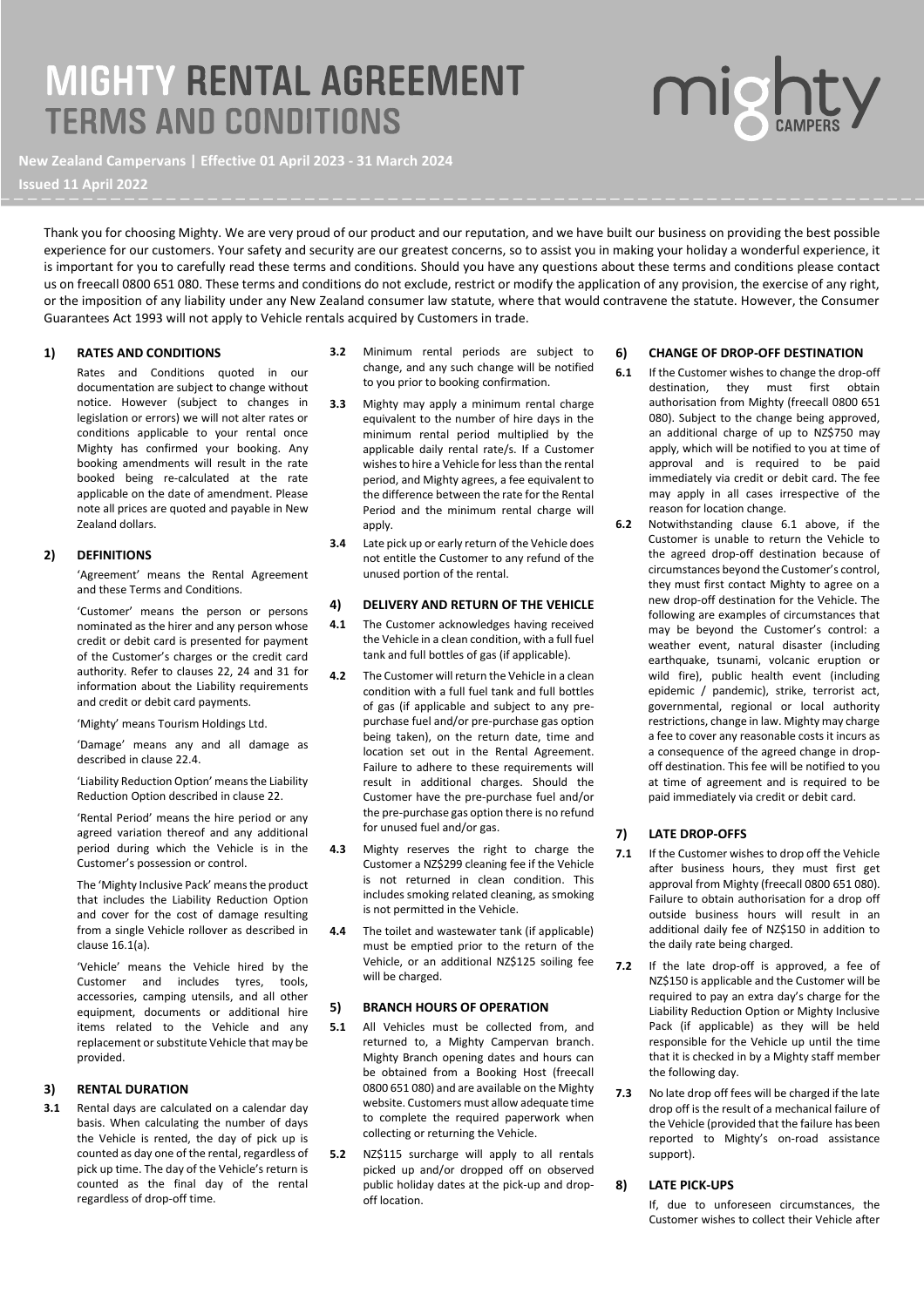# **MIGHTY RENTAL AGREEMENT TERMS AND CONDITIONS**

**New Zealand Campervans | Effective 01 April 2023 - 31 March 2024**

**Issued 11 April 2022**

Thank you for choosing Mighty. We are very proud of our product and our reputation, and we have built our business on providing the best possible experience for our customers. Your safety and security are our greatest concerns, so to assist you in making your holiday a wonderful experience, it is important for you to carefully read these terms and conditions. Should you have any questions about these terms and conditions please contact us on freecall 0800 651 080. These terms and conditions do not exclude, restrict or modify the application of any provision, the exercise of any right, or the imposition of any liability under any New Zealand consumer law statute, where that would contravene the statute. However, the Consumer Guarantees Act 1993 will not apply to Vehicle rentals acquired by Customers in trade.

#### **1) RATES AND CONDITIONS**

Rates and Conditions quoted in our documentation are subject to change without notice. However (subject to changes in legislation or errors) we will not alter rates or conditions applicable to your rental once Mighty has confirmed your booking. Any booking amendments will result in the rate booked being re-calculated at the rate applicable on the date of amendment. Please note all prices are quoted and payable in New Zealand dollars.

#### **2) DEFINITIONS**

'Agreement' means the Rental Agreement and these Terms and Conditions.

'Customer' means the person or persons nominated as the hirer and any person whose credit or debit card is presented for payment of the Customer's charges or the credit card authority. Refer to clauses 22, 24 and 31 for information about the Liability requirements and credit or debit card payments.

'Mighty' means Tourism Holdings Ltd.

'Damage' means any and all damage as described in clause 22.4.

'Liability Reduction Option' means the Liability Reduction Option described in clause 22.

'Rental Period' means the hire period or any agreed variation thereof and any additional period during which the Vehicle is in the Customer's possession or control.

The 'Mighty Inclusive Pack' means the product that includes the Liability Reduction Option and cover for the cost of damage resulting from a single Vehicle rollover as described in clause 16.1(a).

'Vehicle' means the Vehicle hired by the Customer and includes tyres, tools, accessories, camping utensils, and all other equipment, documents or additional hire items related to the Vehicle and any replacement or substitute Vehicle that may be provided.

#### **3) RENTAL DURATION**

**3.1** Rental days are calculated on a calendar day basis. When calculating the number of days the Vehicle is rented, the day of pick up is counted as day one of the rental, regardless of pick up time. The day of the Vehicle's return is counted as the final day of the rental regardless of drop-off time.

- **3.2** Minimum rental periods are subject to change, and any such change will be notified to you prior to booking confirmation.
- **3.3** Mighty may apply a minimum rental charge equivalent to the number of hire days in the minimum rental period multiplied by the applicable daily rental rate/s. If a Customer wishes to hire a Vehicle for less than the rental period, and Mighty agrees, a fee equivalent to the difference between the rate for the Rental Period and the minimum rental charge will apply.
- **3.4** Late pick up or early return of the Vehicle does not entitle the Customer to any refund of the unused portion of the rental.

#### **4) DELIVERY AND RETURN OF THE VEHICLE**

- **4.1** The Customer acknowledges having received the Vehicle in a clean condition, with a full fuel tank and full bottles of gas (if applicable).
- **4.2** The Customer will return the Vehicle in a clean condition with a full fuel tank and full bottles of gas (if applicable and subject to any prepurchase fuel and/or pre-purchase gas option being taken), on the return date, time and location set out in the Rental Agreement. Failure to adhere to these requirements will result in additional charges. Should the Customer have the pre-purchase fuel and/or the pre-purchase gas option there is no refund for unused fuel and/or gas.
- **4.3** Mighty reserves the right to charge the Customer a NZ\$299 cleaning fee if the Vehicle is not returned in clean condition. This includes smoking related cleaning, as smoking is not permitted in the Vehicle.
- **4.4** The toilet and wastewater tank (if applicable) must be emptied prior to the return of the Vehicle, or an additional NZ\$125 soiling fee will be charged.

#### **5) BRANCH HOURS OF OPERATION**

- **5.1** All Vehicles must be collected from, and returned to, a Mighty Campervan branch. Mighty Branch opening dates and hours can be obtained from a Booking Host (freecall 0800 651 080) and are available on the Mighty website. Customers must allow adequate time to complete the required paperwork when collecting or returning the Vehicle.
- **5.2** NZ\$115 surcharge will apply to all rentals picked up and/or dropped off on observed public holiday dates at the pick-up and dropoff location.

#### **6) CHANGE OF DROP-OFF DESTINATION**

- **6.1** If the Customer wishes to change the drop-off destination, they must first obtain authorisation from Mighty (freecall 0800 651 080). Subject to the change being approved, an additional charge of up to NZ\$750 may apply, which will be notified to you at time of approval and is required to be paid immediately via credit or debit card. The fee may apply in all cases irrespective of the reason for location change.
- **6.2** Notwithstanding clause 6.1 above, if the Customer is unable to return the Vehicle to the agreed drop-off destination because of circumstances beyond the Customer's control, they must first contact Mighty to agree on a new drop-off destination for the Vehicle. The following are examples of circumstances that may be beyond the Customer's control: a weather event, natural disaster (including earthquake, tsunami, volcanic eruption or wild fire), public health event (including epidemic / pandemic), strike, terrorist act, governmental, regional or local authority restrictions, change in law. Mighty may charge a fee to cover any reasonable costs it incurs as a consequence of the agreed change in dropoff destination. This fee will be notified to you at time of agreement and is required to be paid immediately via credit or debit card.

#### **7) LATE DROP-OFFS**

- **7.1** If the Customer wishes to drop off the Vehicle after business hours, they must first get approval from Mighty (freecall 0800 651 080). Failure to obtain authorisation for a drop off outside business hours will result in an additional daily fee of NZ\$150 in addition to the daily rate being charged.
- **7.2** If the late drop-off is approved, a fee of NZ\$150 is applicable and the Customer will be required to pay an extra day's charge for the Liability Reduction Option or Mighty Inclusive Pack (if applicable) as they will be held responsible for the Vehicle up until the time that it is checked in by a Mighty staff member the following day.
- **7.3** No late drop off fees will be charged if the late drop off is the result of a mechanical failure of the Vehicle (provided that the failure has been reported to Mighty's on-road assistance support).

#### **8) LATE PICK-UPS**

If, due to unforeseen circumstances, the Customer wishes to collect their Vehicle after

# migh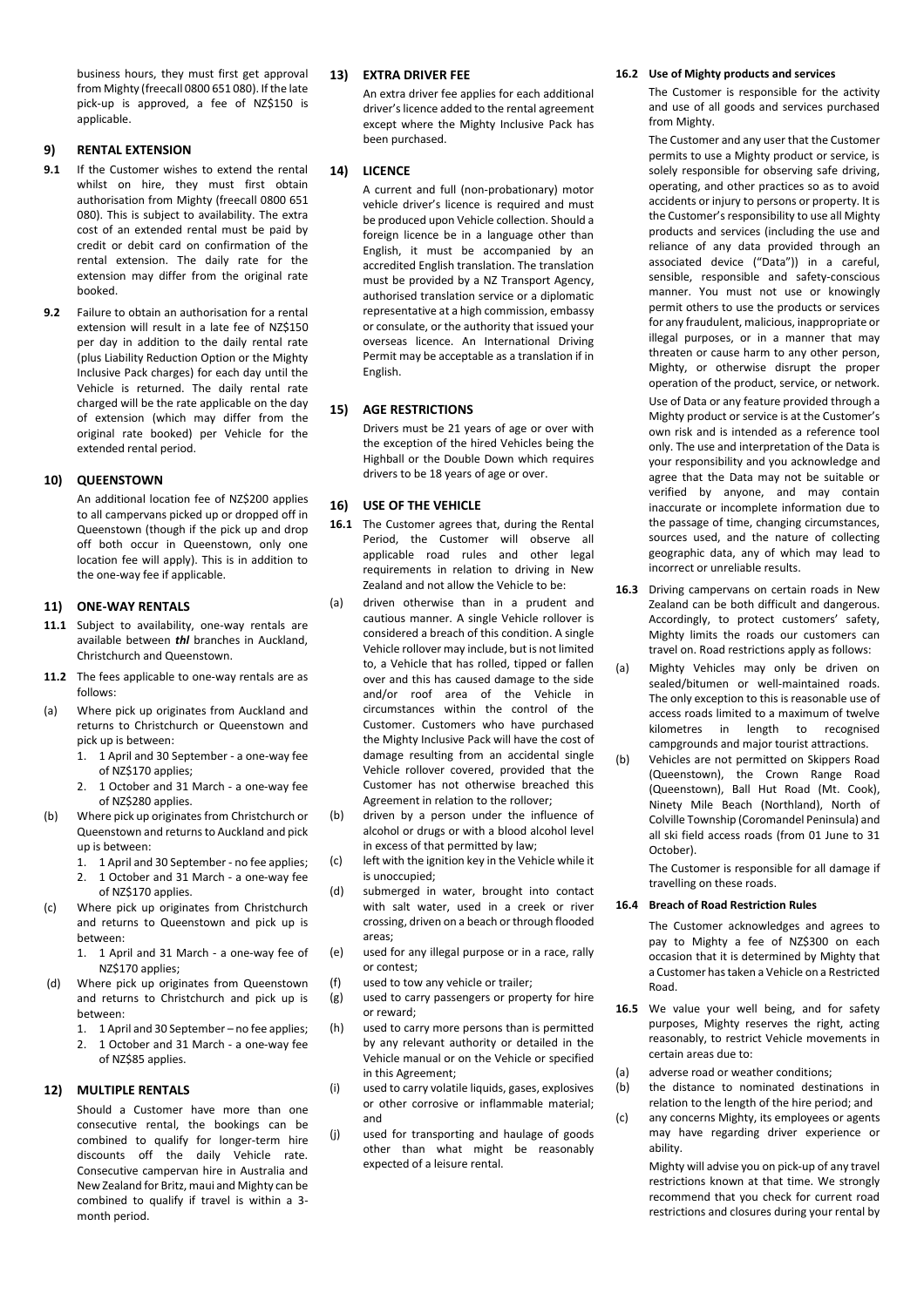business hours, they must first get approval from Mighty (freecall 0800 651 080). If the late pick-up is approved, a fee of NZ\$150 is applicable.

#### **9) RENTAL EXTENSION**

- **9.1** If the Customer wishes to extend the rental whilst on hire, they must first obtain authorisation from Mighty (freecall 0800 651 080). This is subject to availability. The extra cost of an extended rental must be paid by credit or debit card on confirmation of the rental extension. The daily rate for the extension may differ from the original rate booked.
- **9.2** Failure to obtain an authorisation for a rental extension will result in a late fee of NZ\$150 per day in addition to the daily rental rate (plus Liability Reduction Option or the Mighty Inclusive Pack charges) for each day until the Vehicle is returned. The daily rental rate charged will be the rate applicable on the day of extension (which may differ from the original rate booked) per Vehicle for the extended rental period.

#### **10) QUEENSTOWN**

An additional location fee of NZ\$200 applies to all campervans picked up or dropped off in Queenstown (though if the pick up and drop off both occur in Queenstown, only one location fee will apply). This is in addition to the one-way fee if applicable.

#### **11) ONE-WAY RENTALS**

- **11.1** Subject to availability, one-way rentals are available between *thl* branches in Auckland, Christchurch and Queenstown.
- **11.2** The fees applicable to one-way rentals are as follows:
- (a) Where pick up originates from Auckland and returns to Christchurch or Queenstown and pick up is between:
	- 1. 1 April and 30 September a one-way fee of NZ\$170 applies;
	- 2. 1 October and 31 March a one-way fee of NZ\$280 applies.
- (b) Where pick up originates from Christchurch or Queenstown and returns to Auckland and pick up is between:
	- 1. 1 April and 30 September no fee applies;
	- 2. 1 October and 31 March a one-way fee of NZ\$170 applies.
- (c) Where pick up originates from Christchurch and returns to Queenstown and pick up is between:
	- 1. 1 April and 31 March a one-way fee of NZ\$170 applies;
- Where pick up originates from Queenstown and returns to Christchurch and pick up is between:
	- 1. 1 April and 30 September no fee applies;
	- 2. 1 October and 31 March a one-way fee of NZ\$85 applies.

#### **12) MULTIPLE RENTALS**

Should a Customer have more than one consecutive rental, the bookings can be combined to qualify for longer-term hire discounts off the daily Vehicle rate. Consecutive campervan hire in Australia and New Zealand for Britz, maui and Mighty can be combined to qualify if travel is within a 3 month period.

#### **13) EXTRA DRIVER FEE**

An extra driver fee applies for each additional driver's licence added to the rental agreement except where the Mighty Inclusive Pack has been purchased.

#### **14) LICENCE**

A current and full (non-probationary) motor vehicle driver's licence is required and must be produced upon Vehicle collection. Should a foreign licence be in a language other than English, it must be accompanied by an accredited English translation. The translation must be provided by a NZ Transport Agency, authorised translation service or a diplomatic representative at a high commission, embassy or consulate, or the authority that issued your overseas licence. An International Driving Permit may be acceptable as a translation if in English.

#### **15) AGE RESTRICTIONS**

Drivers must be 21 years of age or over with the exception of the hired Vehicles being the Highball or the Double Down which requires drivers to be 18 years of age or over.

#### **16) USE OF THE VEHICLE**

- 16.1 The Customer agrees that, during the Rental Period, the Customer will observe all applicable road rules and other legal requirements in relation to driving in New Zealand and not allow the Vehicle to be:
- (a) driven otherwise than in a prudent and cautious manner. A single Vehicle rollover is considered a breach of this condition. A single Vehicle rollover may include, but is not limited to, a Vehicle that has rolled, tipped or fallen over and this has caused damage to the side and/or roof area of the Vehicle in circumstances within the control of the Customer. Customers who have purchased the Mighty Inclusive Pack will have the cost of damage resulting from an accidental single Vehicle rollover covered, provided that the Customer has not otherwise breached this Agreement in relation to the rollover;
- (b) driven by a person under the influence of alcohol or drugs or with a blood alcohol level in excess of that permitted by law;
- (c) left with the ignition key in the Vehicle while it is unoccupied;
- (d) submerged in water, brought into contact with salt water, used in a creek or river crossing, driven on a beach or through flooded areas;
- (e) used for any illegal purpose or in a race, rally or contest;
- (f) used to tow any vehicle or trailer;
- (g) used to carry passengers or property for hire or reward;
- (h) used to carry more persons than is permitted by any relevant authority or detailed in the Vehicle manual or on the Vehicle or specified in this Agreement;
- (i) used to carry volatile liquids, gases, explosives or other corrosive or inflammable material; and
- (j) used for transporting and haulage of goods other than what might be reasonably expected of a leisure rental.

#### **16.2 Use of Mighty products and services**

The Customer is responsible for the activity and use of all goods and services purchased from Mighty.

The Customer and any user that the Customer permits to use a Mighty product or service, is solely responsible for observing safe driving, operating, and other practices so as to avoid accidents or injury to persons or property. It is the Customer's responsibility to use all Mighty products and services (including the use and reliance of any data provided through an associated device ("Data")) in a careful, sensible, responsible and safety-conscious manner. You must not use or knowingly permit others to use the products or services for any fraudulent, malicious, inappropriate or illegal purposes, or in a manner that may threaten or cause harm to any other person, Mighty, or otherwise disrupt the proper operation of the product, service, or network. Use of Data or any feature provided through a Mighty product or service is at the Customer's own risk and is intended as a reference tool only. The use and interpretation of the Data is your responsibility and you acknowledge and agree that the Data may not be suitable or verified by anyone, and may contain inaccurate or incomplete information due to the passage of time, changing circumstances, sources used, and the nature of collecting geographic data, any of which may lead to incorrect or unreliable results.

- **16.3** Driving campervans on certain roads in New Zealand can be both difficult and dangerous. Accordingly, to protect customers' safety, Mighty limits the roads our customers can travel on. Road restrictions apply as follows:
- (a) Mighty Vehicles may only be driven on sealed/bitumen or well-maintained roads. The only exception to this is reasonable use of access roads limited to a maximum of twelve kilometres in length to recognised campgrounds and major tourist attractions.
- (b) Vehicles are not permitted on Skippers Road (Queenstown), the Crown Range Road (Queenstown), Ball Hut Road (Mt. Cook), Ninety Mile Beach (Northland), North of Colville Township (Coromandel Peninsula) and all ski field access roads (from 01 June to 31 October).

The Customer is responsible for all damage if travelling on these roads.

#### **16.4 Breach of Road Restriction Rules**

The Customer acknowledges and agrees to pay to Mighty a fee of NZ\$300 on each occasion that it is determined by Mighty that a Customer has taken a Vehicle on a Restricted Road.

- **16.5** We value your well being, and for safety purposes, Mighty reserves the right, acting reasonably, to restrict Vehicle movements in certain areas due to:
- (a) adverse road or weather conditions;
- (b) the distance to nominated destinations in relation to the length of the hire period; and
- (c) any concerns Mighty, its employees or agents may have regarding driver experience or ability.

Mighty will advise you on pick-up of any travel restrictions known at that time. We strongly recommend that you check for current road restrictions and closures during your rental by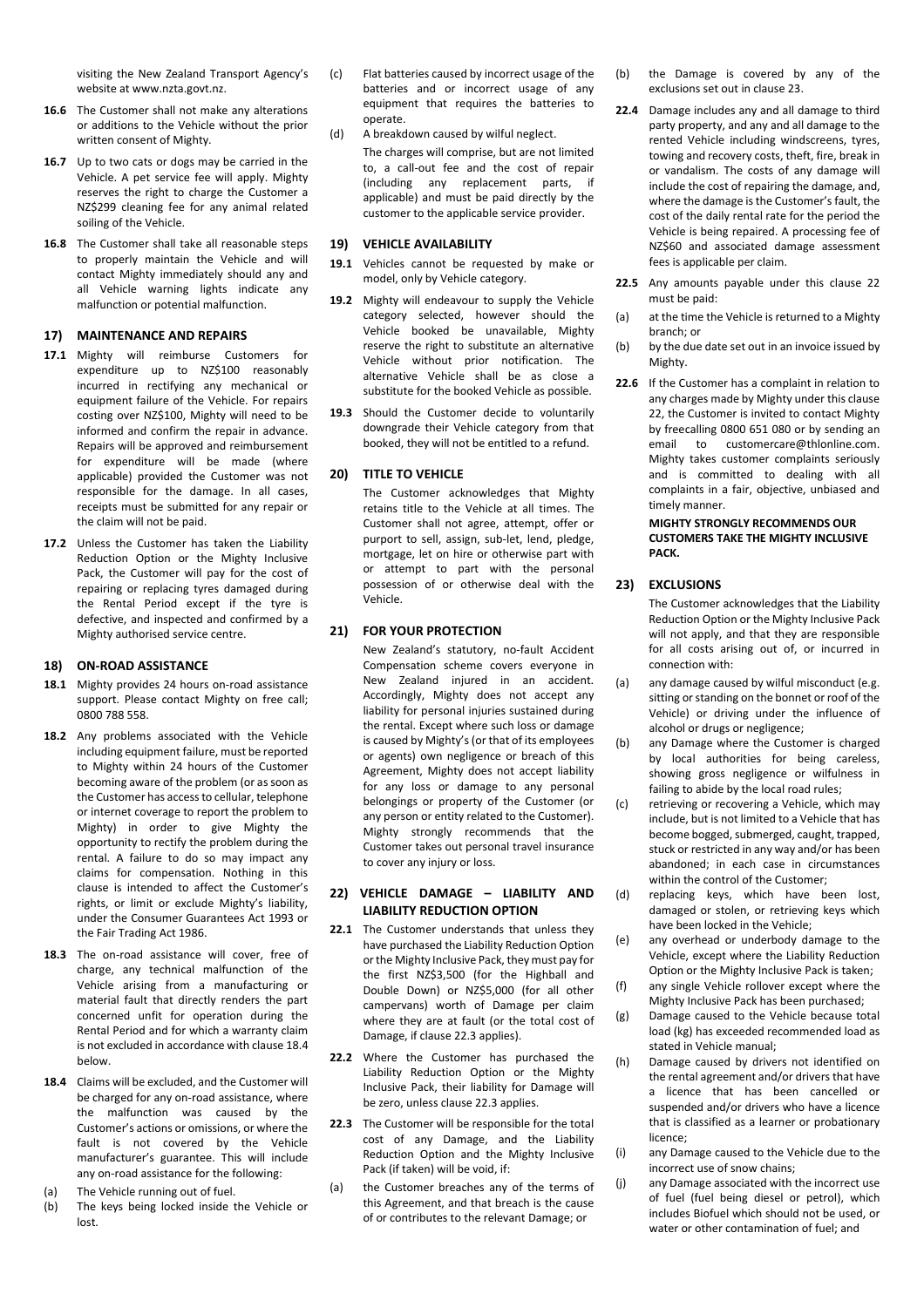visiting the New Zealand Transport Agency's website at www.nzta.govt.nz.

- **16.6** The Customer shall not make any alterations or additions to the Vehicle without the prior written consent of Mighty.
- **16.7** Up to two cats or dogs may be carried in the Vehicle. A pet service fee will apply. Mighty reserves the right to charge the Customer a NZ\$299 cleaning fee for any animal related soiling of the Vehicle.
- **16.8** The Customer shall take all reasonable steps to properly maintain the Vehicle and will contact Mighty immediately should any and all Vehicle warning lights indicate any malfunction or potential malfunction.

#### **17) MAINTENANCE AND REPAIRS**

- **17.1** Mighty will reimburse Customers for expenditure up to NZ\$100 reasonably incurred in rectifying any mechanical or equipment failure of the Vehicle. For repairs costing over NZ\$100, Mighty will need to be informed and confirm the repair in advance. Repairs will be approved and reimbursement for expenditure will be made (where applicable) provided the Customer was not responsible for the damage. In all cases, receipts must be submitted for any repair or the claim will not be paid.
- **17.2** Unless the Customer has taken the Liability Reduction Option or the Mighty Inclusive Pack, the Customer will pay for the cost of repairing or replacing tyres damaged during the Rental Period except if the tyre is defective, and inspected and confirmed by a Mighty authorised service centre.

#### **18) ON-ROAD ASSISTANCE**

- **18.1** Mighty provides 24 hours on-road assistance support. Please contact Mighty on free call; 0800 788 558.
- **18.2** Any problems associated with the Vehicle including equipment failure, must be reported to Mighty within 24 hours of the Customer becoming aware of the problem (or as soon as the Customer has access to cellular, telephone or internet coverage to report the problem to Mighty) in order to give Mighty the opportunity to rectify the problem during the rental. A failure to do so may impact any claims for compensation. Nothing in this clause is intended to affect the Customer's rights, or limit or exclude Mighty's liability, under the Consumer Guarantees Act 1993 or the Fair Trading Act 1986.
- **18.3** The on-road assistance will cover, free of charge, any technical malfunction of the Vehicle arising from a manufacturing or material fault that directly renders the part concerned unfit for operation during the Rental Period and for which a warranty claim is not excluded in accordance with clause 18.4 below.
- **18.4** Claims will be excluded, and the Customer will be charged for any on-road assistance, where the malfunction was caused by the Customer's actions or omissions, or where the fault is not covered by the Vehicle manufacturer's guarantee. This will include any on-road assistance for the following:
- (a) The Vehicle running out of fuel.
- (b) The keys being locked inside the Vehicle or lost.
- (c) Flat batteries caused by incorrect usage of the batteries and or incorrect usage of any equipment that requires the batteries to operate.
- (d) A breakdown caused by wilful neglect. The charges will comprise, but are not limited to, a call-out fee and the cost of repair (including any replacement parts, if applicable) and must be paid directly by the customer to the applicable service provider.

#### **19) VEHICLE AVAILABILITY**

- **19.1** Vehicles cannot be requested by make or model, only by Vehicle category.
- **19.2** Mighty will endeavour to supply the Vehicle category selected, however should the Vehicle booked be unavailable, Mighty reserve the right to substitute an alternative Vehicle without prior notification. The alternative Vehicle shall be as close a substitute for the booked Vehicle as possible.
- **19.3** Should the Customer decide to voluntarily downgrade their Vehicle category from that booked, they will not be entitled to a refund.

#### **20) TITLE TO VEHICLE**

The Customer acknowledges that Mighty retains title to the Vehicle at all times. The Customer shall not agree, attempt, offer or purport to sell, assign, sub-let, lend, pledge, mortgage, let on hire or otherwise part with or attempt to part with the personal possession of or otherwise deal with the Vehicle.

#### **21) FOR YOUR PROTECTION**

New Zealand's statutory, no-fault Accident Compensation scheme covers everyone in New Zealand injured in an accident. Accordingly, Mighty does not accept any liability for personal injuries sustained during the rental. Except where such loss or damage is caused by Mighty's (or that of its employees or agents) own negligence or breach of this Agreement, Mighty does not accept liability for any loss or damage to any personal belongings or property of the Customer (or any person or entity related to the Customer). Mighty strongly recommends that the Customer takes out personal travel insurance to cover any injury or loss.

#### **22) VEHICLE DAMAGE – LIABILITY AND LIABILITY REDUCTION OPTION**

- **22.1** The Customer understands that unless they have purchased the Liability Reduction Option or the Mighty Inclusive Pack, they must pay for the first NZ\$3,500 (for the Highball and Double Down) or NZ\$5,000 (for all other campervans) worth of Damage per claim where they are at fault (or the total cost of Damage, if clause 22.3 applies).
- **22.2** Where the Customer has purchased the Liability Reduction Option or the Mighty Inclusive Pack, their liability for Damage will be zero, unless clause 22.3 applies.
- **22.3** The Customer will be responsible for the total cost of any Damage, and the Liability Reduction Option and the Mighty Inclusive Pack (if taken) will be void, if:
- (a) the Customer breaches any of the terms of this Agreement, and that breach is the cause of or contributes to the relevant Damage; or
- (b) the Damage is covered by any of the exclusions set out in clause 23.
- **22.4** Damage includes any and all damage to third party property, and any and all damage to the rented Vehicle including windscreens, tyres, towing and recovery costs, theft, fire, break in or vandalism. The costs of any damage will include the cost of repairing the damage, and, where the damage is the Customer's fault, the cost of the daily rental rate for the period the Vehicle is being repaired. A processing fee of NZ\$60 and associated damage assessment fees is applicable per claim.
- **22.5** Any amounts payable under this clause 22 must be paid:
- (a) at the time the Vehicle is returned to a Mighty branch; or
- (b) by the due date set out in an invoice issued by Mighty.
- **22.6** If the Customer has a complaint in relation to any charges made by Mighty under this clause 22, the Customer is invited to contact Mighty by freecalling 0800 651 080 or by sending an email to customercare@thlonline.com. Mighty takes customer complaints seriously and is committed to dealing with all complaints in a fair, objective, unbiased and timely manner.

#### **MIGHTY STRONGLY RECOMMENDS OUR CUSTOMERS TAKE THE MIGHTY INCLUSIVE PACK.**

#### **23) EXCLUSIONS**

The Customer acknowledges that the Liability Reduction Option or the Mighty Inclusive Pack will not apply, and that they are responsible for all costs arising out of, or incurred in connection with:

- (a) any damage caused by wilful misconduct (e.g. sitting or standing on the bonnet or roof of the Vehicle) or driving under the influence of alcohol or drugs or negligence;
- (b) any Damage where the Customer is charged by local authorities for being careless, showing gross negligence or wilfulness in failing to abide by the local road rules;
- (c) retrieving or recovering a Vehicle, which may include, but is not limited to a Vehicle that has become bogged, submerged, caught, trapped, stuck or restricted in any way and/or has been abandoned; in each case in circumstances within the control of the Customer;
- (d) replacing keys, which have been lost, damaged or stolen, or retrieving keys which have been locked in the Vehicle;
- (e) any overhead or underbody damage to the Vehicle, except where the Liability Reduction Option or the Mighty Inclusive Pack is taken;
- (f) any single Vehicle rollover except where the Mighty Inclusive Pack has been purchased;
- (g) Damage caused to the Vehicle because total load (kg) has exceeded recommended load as stated in Vehicle manual;
- (h) Damage caused by drivers not identified on the rental agreement and/or drivers that have a licence that has been cancelled or suspended and/or drivers who have a licence that is classified as a learner or probationary licence;
- (i) any Damage caused to the Vehicle due to the incorrect use of snow chains;
- (j) any Damage associated with the incorrect use of fuel (fuel being diesel or petrol), which includes Biofuel which should not be used, or water or other contamination of fuel; and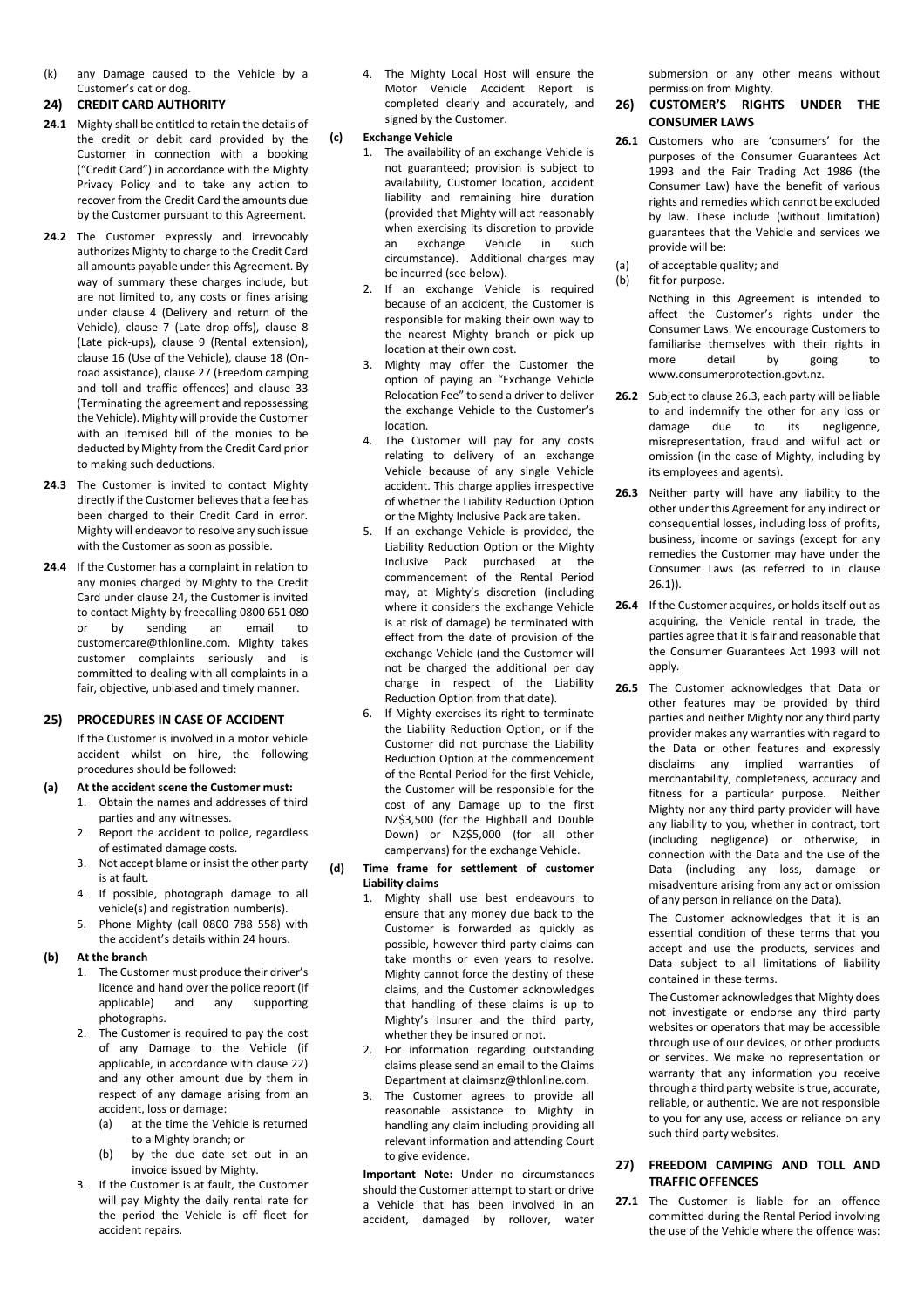(k) any Damage caused to the Vehicle by a Customer's cat or dog.

#### **24) CREDIT CARD AUTHORITY**

- **24.1** Mighty shall be entitled to retain the details of the credit or debit card provided by the Customer in connection with a booking ("Credit Card") in accordance with the Mighty Privacy Policy and to take any action to recover from the Credit Card the amounts due by the Customer pursuant to this Agreement.
- 24.2 The Customer expressly and irrevocably authorizes Mighty to charge to the Credit Card all amounts payable under this Agreement. By way of summary these charges include, but are not limited to, any costs or fines arising under clause 4 (Delivery and return of the Vehicle), clause 7 (Late drop-offs), clause 8 (Late pick-ups), clause 9 (Rental extension), clause 16 (Use of the Vehicle), clause 18 (Onroad assistance), clause 27 (Freedom camping and toll and traffic offences) and clause 33 (Terminating the agreement and repossessing the Vehicle). Mighty will provide the Customer with an itemised bill of the monies to be deducted by Mighty from the Credit Card prior to making such deductions.
- **24.3** The Customer is invited to contact Mighty directly if the Customer believes that a fee has been charged to their Credit Card in error. Mighty will endeavor to resolve any such issue with the Customer as soon as possible.
- **24.4** If the Customer has a complaint in relation to any monies charged by Mighty to the Credit Card under clause 24, the Customer is invited to contact Mighty by freecalling 0800 651 080<br>or by sending an email to or by sending an email to customercare@thlonline.com. Mighty takes customer complaints seriously and is committed to dealing with all complaints in a fair, objective, unbiased and timely manner.

#### **25) PROCEDURES IN CASE OF ACCIDENT**

If the Customer is involved in a motor vehicle accident whilst on hire, the following procedures should be followed:

#### **(a) At the accident scene the Customer must:**

- 1. Obtain the names and addresses of third parties and any witnesses.
- 2. Report the accident to police, regardless of estimated damage costs.
- 3. Not accept blame or insist the other party is at fault.
- 4. If possible, photograph damage to all vehicle(s) and registration number(s).
- 5. Phone Mighty (call 0800 788 558) with the accident's details within 24 hours.

#### **(b) At the branch**

- 1. The Customer must produce their driver's licence and hand over the police report (if<br>applicable) and any supporting and any supporting photographs.
- 2. The Customer is required to pay the cost of any Damage to the Vehicle (if applicable, in accordance with clause 22) and any other amount due by them in respect of any damage arising from an accident, loss or damage:
	- (a) at the time the Vehicle is returned to a Mighty branch; or
	- (b) by the due date set out in an invoice issued by Mighty.
- 3. If the Customer is at fault, the Customer will pay Mighty the daily rental rate for the period the Vehicle is off fleet for accident repairs.

4. The Mighty Local Host will ensure the Motor Vehicle Accident Report is completed clearly and accurately, and signed by the Customer.

#### **(c) Exchange Vehicle**

- 1. The availability of an exchange Vehicle is not guaranteed; provision is subject to availability, Customer location, accident liability and remaining hire duration (provided that Mighty will act reasonably when exercising its discretion to provide<br>an exchange Vehicle in such an exchange Vehicle circumstance). Additional charges may be incurred (see below).
- 2. If an exchange Vehicle is required because of an accident, the Customer is responsible for making their own way to the nearest Mighty branch or pick up location at their own cost.
- 3. Mighty may offer the Customer the option of paying an "Exchange Vehicle Relocation Fee" to send a driver to deliver the exchange Vehicle to the Customer's location.
- 4. The Customer will pay for any costs relating to delivery of an exchange Vehicle because of any single Vehicle accident. This charge applies irrespective of whether the Liability Reduction Option or the Mighty Inclusive Pack are taken.
- If an exchange Vehicle is provided, the Liability Reduction Option or the Mighty Inclusive Pack purchased at the commencement of the Rental Period may, at Mighty's discretion (including where it considers the exchange Vehicle is at risk of damage) be terminated with effect from the date of provision of the exchange Vehicle (and the Customer will not be charged the additional per day charge in respect of the Liability Reduction Option from that date).
- If Mighty exercises its right to terminate the Liability Reduction Option, or if the Customer did not purchase the Liability Reduction Option at the commencement of the Rental Period for the first Vehicle, the Customer will be responsible for the cost of any Damage up to the first NZ\$3,500 (for the Highball and Double Down) or NZ\$5,000 (for all other campervans) for the exchange Vehicle.
- **(d) Time frame for settlement of customer Liability claims** 
	- 1. Mighty shall use best endeavours to ensure that any money due back to the Customer is forwarded as quickly as possible, however third party claims can take months or even years to resolve. Mighty cannot force the destiny of these claims, and the Customer acknowledges that handling of these claims is up to Mighty's Insurer and the third party, whether they be insured or not.
	- 2. For information regarding outstanding claims please send an email to the Claims Department at claimsnz@thlonline.com.
	- 3. The Customer agrees to provide all reasonable assistance to Mighty in handling any claim including providing all relevant information and attending Court to give evidence.

**Important Note:** Under no circumstances should the Customer attempt to start or drive a Vehicle that has been involved in an accident, damaged by rollover, water

submersion or any other means without permission from Mighty.

#### **26) CUSTOMER'S RIGHTS UNDER THE CONSUMER LAWS**

- 26.1 Customers who are 'consumers' for the purposes of the Consumer Guarantees Act 1993 and the Fair Trading Act 1986 (the Consumer Law) have the benefit of various rights and remedies which cannot be excluded by law. These include (without limitation) guarantees that the Vehicle and services we provide will be:
- (a) of acceptable quality; and
- (b) fit for purpose.
	- Nothing in this Agreement is intended to affect the Customer's rights under the Consumer Laws. We encourage Customers to familiarise themselves with their rights in more detail by going to www.consumerprotection.govt.nz.
- **26.2** Subject to clause 26.3, each party will be liable to and indemnify the other for any loss or damage due to its negligence, misrepresentation, fraud and wilful act or omission (in the case of Mighty, including by its employees and agents).
- **26.3** Neither party will have any liability to the other under this Agreement for any indirect or consequential losses, including loss of profits, business, income or savings (except for any remedies the Customer may have under the Consumer Laws (as referred to in clause 26.1)).
- **26.4** If the Customer acquires, or holds itself out as acquiring, the Vehicle rental in trade, the parties agree that it is fair and reasonable that the Consumer Guarantees Act 1993 will not apply.
- **26.5** The Customer acknowledges that Data or other features may be provided by third parties and neither Mighty nor any third party provider makes any warranties with regard to the Data or other features and expressly disclaims any implied warranties of merchantability, completeness, accuracy and fitness for a particular purpose. Neither Mighty nor any third party provider will have any liability to you, whether in contract, tort (including negligence) or otherwise, in connection with the Data and the use of the Data (including any loss, damage or misadventure arising from any act or omission of any person in reliance on the Data).

The Customer acknowledges that it is an essential condition of these terms that you accept and use the products, services and Data subject to all limitations of liability contained in these terms.

The Customer acknowledges that Mighty does not investigate or endorse any third party websites or operators that may be accessible through use of our devices, or other products or services. We make no representation or warranty that any information you receive through a third party website is true, accurate, reliable, or authentic. We are not responsible to you for any use, access or reliance on any such third party websites.

#### **27) FREEDOM CAMPING AND TOLL AND TRAFFIC OFFENCES**

**27.1** The Customer is liable for an offence committed during the Rental Period involving the use of the Vehicle where the offence was: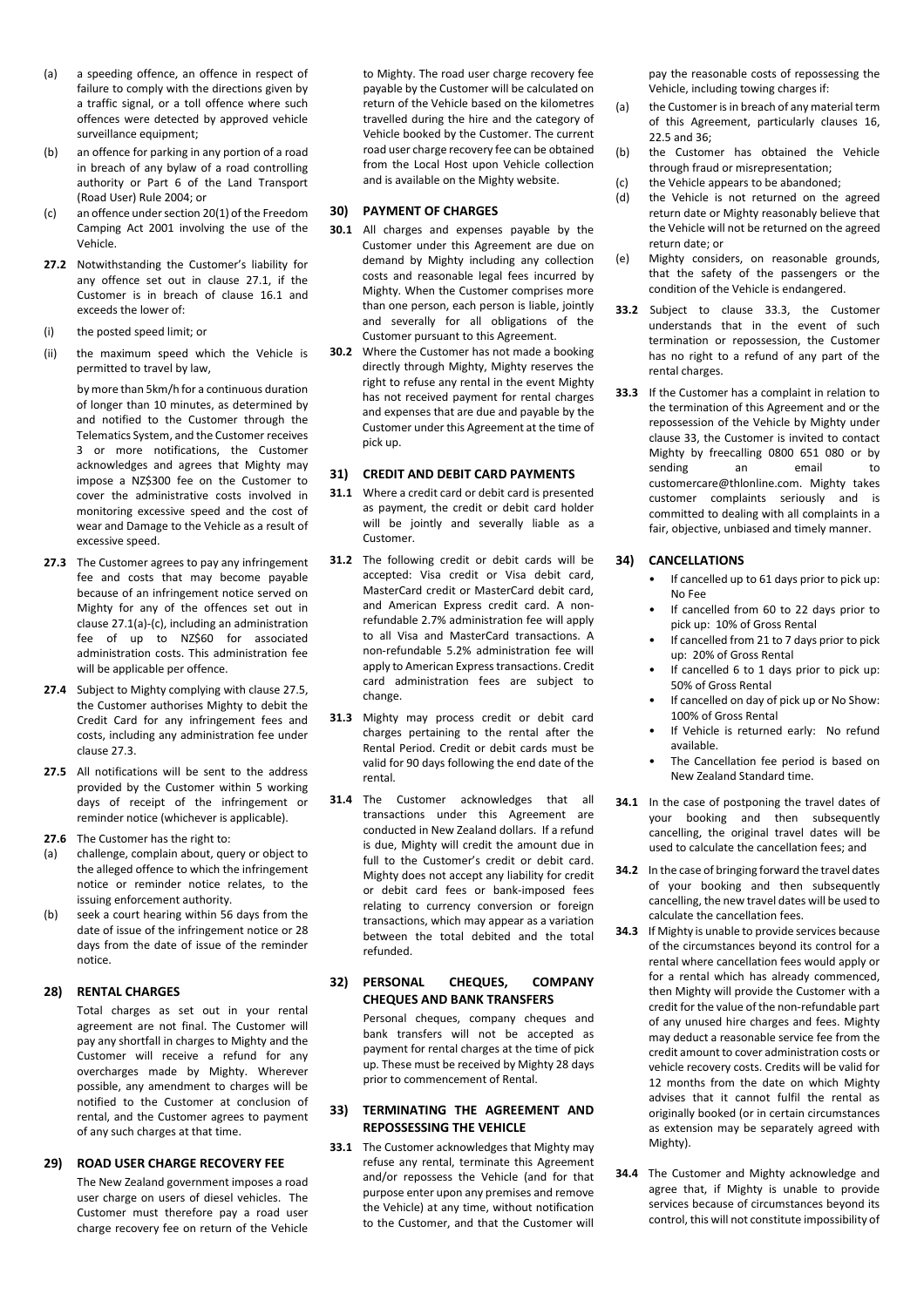- (a) a speeding offence, an offence in respect of failure to comply with the directions given by a traffic signal, or a toll offence where such offences were detected by approved vehicle surveillance equipment;
- (b) an offence for parking in any portion of a road in breach of any bylaw of a road controlling authority or Part 6 of the Land Transport (Road User) Rule 2004; or
- (c) an offence under section 20(1) of the Freedom Camping Act 2001 involving the use of the Vehicle.
- **27.2** Notwithstanding the Customer's liability for any offence set out in clause 27.1, if the Customer is in breach of clause 16.1 and exceeds the lower of:
- (i) the posted speed limit; or
- (ii) the maximum speed which the Vehicle is permitted to travel by law,

by more than 5km/h for a continuous duration of longer than 10 minutes, as determined by and notified to the Customer through the Telematics System, and the Customer receives 3 or more notifications, the Customer acknowledges and agrees that Mighty may impose a NZ\$300 fee on the Customer to cover the administrative costs involved in monitoring excessive speed and the cost of wear and Damage to the Vehicle as a result of excessive speed.

- **27.3** The Customer agrees to pay any infringement fee and costs that may become payable because of an infringement notice served on Mighty for any of the offences set out in clause 27.1(a)-(c), including an administration fee of up to NZ\$60 for associated administration costs. This administration fee will be applicable per offence.
- **27.4** Subject to Mighty complying with clause 27.5, the Customer authorises Mighty to debit the Credit Card for any infringement fees and costs, including any administration fee under clause 27.3.
- **27.5** All notifications will be sent to the address provided by the Customer within 5 working days of receipt of the infringement or reminder notice (whichever is applicable).
- **27.6** The Customer has the right to:
- (a) challenge, complain about, query or object to the alleged offence to which the infringement notice or reminder notice relates, to the issuing enforcement authority.
- (b) seek a court hearing within 56 days from the date of issue of the infringement notice or 28 days from the date of issue of the reminder notice.

#### **28) RENTAL CHARGES**

Total charges as set out in your rental agreement are not final. The Customer will pay any shortfall in charges to Mighty and the Customer will receive a refund for any overcharges made by Mighty. Wherever possible, any amendment to charges will be notified to the Customer at conclusion of rental, and the Customer agrees to payment of any such charges at that time.

#### **29) ROAD USER CHARGE RECOVERY FEE**

The New Zealand government imposes a road user charge on users of diesel vehicles. The Customer must therefore pay a road user charge recovery fee on return of the Vehicle

to Mighty. The road user charge recovery fee payable by the Customer will be calculated on return of the Vehicle based on the kilometres travelled during the hire and the category of Vehicle booked by the Customer. The current road user charge recovery fee can be obtained from the Local Host upon Vehicle collection and is available on the Mighty website.

#### **30) PAYMENT OF CHARGES**

- **30.1** All charges and expenses payable by the Customer under this Agreement are due on demand by Mighty including any collection costs and reasonable legal fees incurred by Mighty. When the Customer comprises more than one person, each person is liable, jointly and severally for all obligations of the Customer pursuant to this Agreement.
- **30.2** Where the Customer has not made a booking directly through Mighty, Mighty reserves the right to refuse any rental in the event Mighty has not received payment for rental charges and expenses that are due and payable by the Customer under this Agreement at the time of pick up.

#### **31) CREDIT AND DEBIT CARD PAYMENTS**

- **31.1** Where a credit card or debit card is presented as payment, the credit or debit card holder will be jointly and severally liable as a Customer.
- **31.2** The following credit or debit cards will be accepted: Visa credit or Visa debit card, MasterCard credit or MasterCard debit card, and American Express credit card. A nonrefundable 2.7% administration fee will apply to all Visa and MasterCard transactions. A non-refundable 5.2% administration fee will apply to American Express transactions. Credit card administration fees are subject to change.
- **31.3** Mighty may process credit or debit card charges pertaining to the rental after the Rental Period. Credit or debit cards must be valid for 90 days following the end date of the rental.
- **31.4** The Customer acknowledges that all transactions under this Agreement are conducted in New Zealand dollars. If a refund is due, Mighty will credit the amount due in full to the Customer's credit or debit card. Mighty does not accept any liability for credit or debit card fees or bank-imposed fees relating to currency conversion or foreign transactions, which may appear as a variation between the total debited and the total refunded.

#### **32) PERSONAL CHEQUES, COMPANY CHEQUES AND BANK TRANSFERS**

Personal cheques, company cheques and bank transfers will not be accepted as payment for rental charges at the time of pick up. These must be received by Mighty 28 days prior to commencement of Rental.

#### **33) TERMINATING THE AGREEMENT AND REPOSSESSING THE VEHICLE**

**33.1** The Customer acknowledges that Mighty may refuse any rental, terminate this Agreement and/or repossess the Vehicle (and for that purpose enter upon any premises and remove the Vehicle) at any time, without notification to the Customer, and that the Customer will

pay the reasonable costs of repossessing the Vehicle, including towing charges if:

- (a) the Customer is in breach of any material term of this Agreement, particularly clauses 16, 22.5 and 36;
- (b) the Customer has obtained the Vehicle through fraud or misrepresentation;
- (c) the Vehicle appears to be abandoned;
- (d) the Vehicle is not returned on the agreed return date or Mighty reasonably believe that the Vehicle will not be returned on the agreed return date; or
- (e) Mighty considers, on reasonable grounds, that the safety of the passengers or the condition of the Vehicle is endangered.
- **33.2** Subject to clause 33.3, the Customer understands that in the event of such termination or repossession, the Customer has no right to a refund of any part of the rental charges.
- **33.3** If the Customer has a complaint in relation to the termination of this Agreement and or the repossession of the Vehicle by Mighty under clause 33, the Customer is invited to contact Mighty by freecalling 0800 651 080 or by sending an email to customercare@thlonline.com. Mighty takes customer complaints seriously and is committed to dealing with all complaints in a fair, objective, unbiased and timely manner.

#### **34) CANCELLATIONS**

- If cancelled up to 61 days prior to pick up: No Fee
- If cancelled from 60 to 22 days prior to pick up: 10% of Gross Rental
- If cancelled from 21 to 7 days prior to pick up: 20% of Gross Rental
- If cancelled 6 to 1 days prior to pick up: 50% of Gross Rental
- If cancelled on day of pick up or No Show: 100% of Gross Rental
- If Vehicle is returned early: No refund available.
- The Cancellation fee period is based on New Zealand Standard time.
- **34.1** In the case of postponing the travel dates of your booking and then subsequently cancelling, the original travel dates will be used to calculate the cancellation fees; and
- **34.2** In the case of bringing forward the travel dates of your booking and then subsequently cancelling, the new travel dates will be used to calculate the cancellation fees.
- **34.3** If Mighty is unable to provide services because of the circumstances beyond its control for a rental where cancellation fees would apply or for a rental which has already commenced, then Mighty will provide the Customer with a credit for the value of the non-refundable part of any unused hire charges and fees. Mighty may deduct a reasonable service fee from the credit amount to cover administration costs or vehicle recovery costs. Credits will be valid for 12 months from the date on which Mighty advises that it cannot fulfil the rental as originally booked (or in certain circumstances as extension may be separately agreed with Mighty).
- **34.4** The Customer and Mighty acknowledge and agree that, if Mighty is unable to provide services because of circumstances beyond its control, this will not constitute impossibility of